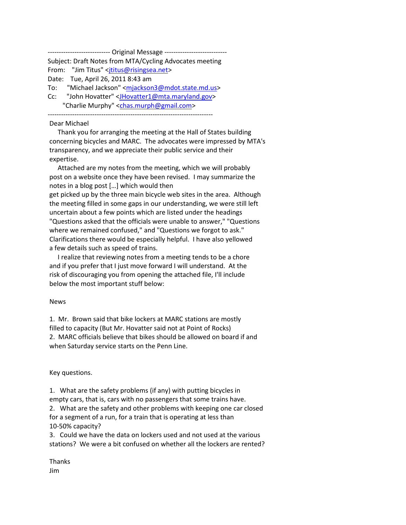---------------------- Original Message ----------------------------Subject: Draft Notes from MTA/Cycling Advocates meeting From: "Jim Titus" <*jtitus@risingsea.net>* Date: Tue, April 26, 2011 8:43 am To: "Michael Jackson" [<mjackson3@mdot.state.md.us>](mailto:mjackson3@mdot.state.md.us) Cc: "John Hovatter" [<JHovatter1@mta.maryland.gov>](mailto:JHovatter1@mta.maryland.gov) "Charlie Murphy" [<chas.murph@gmail.com>](mailto:chas.murph@gmail.com)

--------------------------------------------------------------------------

#### Dear Michael

 Thank you for arranging the meeting at the Hall of States building concerning bicycles and MARC. The advocates were impressed by MTA's transparency, and we appreciate their public service and their expertise.

 Attached are my notes from the meeting, which we will probably post on a website once they have been revised. I may summarize the notes in a blog post […] which would then get picked up by the three main bicycle web sites in the area. Although the meeting filled in some gaps in our understanding, we were still left uncertain about a few points which are listed under the headings "Questions asked that the officials were unable to answer," "Questions where we remained confused," and "Questions we forgot to ask." Clarifications there would be especially helpful. I have also yellowed a few details such as speed of trains.

 I realize that reviewing notes from a meeting tends to be a chore and if you prefer that I just move forward I will understand. At the risk of discouraging you from opening the attached file, I'll include below the most important stuff below:

#### News

1. Mr. Brown said that bike lockers at MARC stations are mostly filled to capacity (But Mr. Hovatter said not at Point of Rocks) 2. MARC officials believe that bikes should be allowed on board if and when Saturday service starts on the Penn Line.

Key questions.

1. What are the safety problems (if any) with putting bicycles in empty cars, that is, cars with no passengers that some trains have. 2. What are the safety and other problems with keeping one car closed for a segment of a run, for a train that is operating at less than 10-50% capacity?

3. Could we have the data on lockers used and not used at the various stations? We were a bit confused on whether all the lockers are rented?

Thanks Jim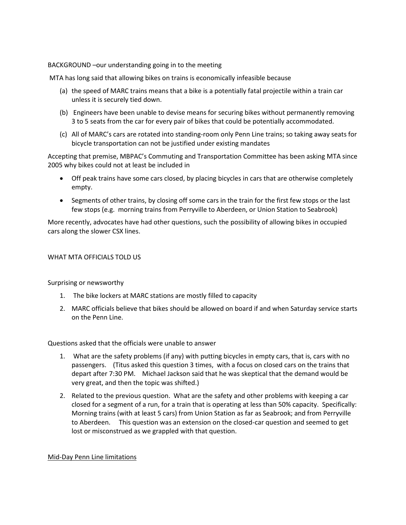BACKGROUND –our understanding going in to the meeting

MTA has long said that allowing bikes on trains is economically infeasible because

- (a) the speed of MARC trains means that a bike is a potentially fatal projectile within a train car unless it is securely tied down.
- (b) Engineers have been unable to devise means for securing bikes without permanently removing 3 to 5 seats from the car for every pair of bikes that could be potentially accommodated.
- (c) All of MARC's cars are rotated into standing-room only Penn Line trains; so taking away seats for bicycle transportation can not be justified under existing mandates

Accepting that premise, MBPAC's Commuting and Transportation Committee has been asking MTA since 2005 why bikes could not at least be included in

- Off peak trains have some cars closed, by placing bicycles in cars that are otherwise completely empty.
- Segments of other trains, by closing off some cars in the train for the first few stops or the last few stops (e.g. morning trains from Perryville to Aberdeen, or Union Station to Seabrook)

More recently, advocates have had other questions, such the possibility of allowing bikes in occupied cars along the slower CSX lines.

## WHAT MTA OFFICIALS TOLD US

Surprising or newsworthy

- 1. The bike lockers at MARC stations are mostly filled to capacity
- 2. MARC officials believe that bikes should be allowed on board if and when Saturday service starts on the Penn Line.

Questions asked that the officials were unable to answer

- 1. What are the safety problems (if any) with putting bicycles in empty cars, that is, cars with no passengers. (Titus asked this question 3 times, with a focus on closed cars on the trains that depart after 7:30 PM. Michael Jackson said that he was skeptical that the demand would be very great, and then the topic was shifted.)
- 2. Related to the previous question. What are the safety and other problems with keeping a car closed for a segment of a run, for a train that is operating at less than 50% capacity. Specifically: Morning trains (with at least 5 cars) from Union Station as far as Seabrook; and from Perryville to Aberdeen. This question was an extension on the closed-car question and seemed to get lost or misconstrued as we grappled with that question.

### Mid-Day Penn Line limitations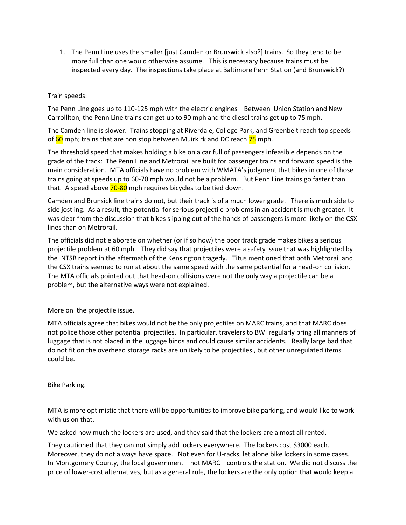1. The Penn Line uses the smaller [just Camden or Brunswick also?] trains. So they tend to be more full than one would otherwise assume. This is necessary because trains must be inspected every day. The inspections take place at Baltimore Penn Station (and Brunswick?)

# Train speeds:

The Penn Line goes up to 110-125 mph with the electric engines Between Union Station and New Carrolllton, the Penn Line trains can get up to 90 mph and the diesel trains get up to 75 mph.

The Camden line is slower. Trains stopping at Riverdale, College Park, and Greenbelt reach top speeds of 60 mph; trains that are non stop between Muirkirk and DC reach 75 mph.

The threshold speed that makes holding a bike on a car full of passengers infeasible depends on the grade of the track: The Penn Line and Metrorail are built for passenger trains and forward speed is the main consideration. MTA officials have no problem with WMATA's judgment that bikes in one of those trains going at speeds up to 60-70 mph would not be a problem. But Penn Line trains go faster than that. A speed above 70-80 mph requires bicycles to be tied down.

Camden and Brunsick line trains do not, but their track is of a much lower grade. There is much side to side jostling. As a result, the potential for serious projectile problems in an accident is much greater. It was clear from the discussion that bikes slipping out of the hands of passengers is more likely on the CSX lines than on Metrorail.

The officials did not elaborate on whether (or if so how) the poor track grade makes bikes a serious projectile problem at 60 mph. They did say that projectiles were a safety issue that was highlighted by the NTSB report in the aftermath of the Kensington tragedy. Titus mentioned that both Metrorail and the CSX trains seemed to run at about the same speed with the same potential for a head-on collision. The MTA officials pointed out that head-on collisions were not the only way a projectile can be a problem, but the alternative ways were not explained.

# More on the projectile issue.

MTA officials agree that bikes would not be the only projectiles on MARC trains, and that MARC does not police those other potential projectiles. In particular, travelers to BWI regularly bring all manners of luggage that is not placed in the luggage binds and could cause similar accidents. Really large bad that do not fit on the overhead storage racks are unlikely to be projectiles , but other unregulated items could be.

# Bike Parking.

MTA is more optimistic that there will be opportunities to improve bike parking, and would like to work with us on that.

We asked how much the lockers are used, and they said that the lockers are almost all rented.

They cautioned that they can not simply add lockers everywhere. The lockers cost \$3000 each. Moreover, they do not always have space. Not even for U-racks, let alone bike lockers in some cases. In Montgomery County, the local government—not MARC—controls the station. We did not discuss the price of lower-cost alternatives, but as a general rule, the lockers are the only option that would keep a